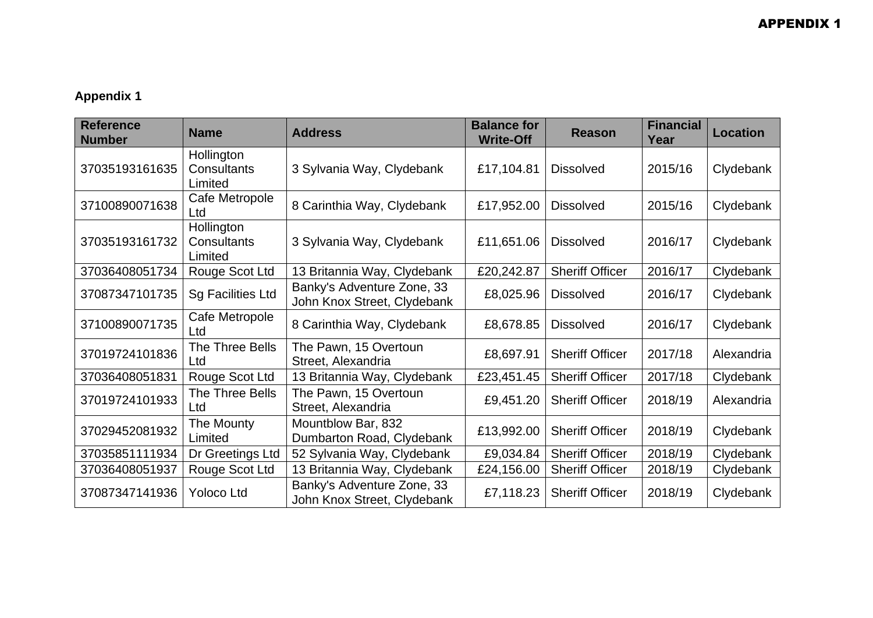## **Appendix 1**

| <b>Reference</b><br><b>Number</b> | <b>Name</b>                          | <b>Address</b>                                            | <b>Balance for</b><br><b>Write-Off</b> | <b>Reason</b>          | <b>Financial</b><br>Year | <b>Location</b> |
|-----------------------------------|--------------------------------------|-----------------------------------------------------------|----------------------------------------|------------------------|--------------------------|-----------------|
| 37035193161635                    | Hollington<br>Consultants<br>Limited | 3 Sylvania Way, Clydebank                                 | £17,104.81                             | <b>Dissolved</b>       | 2015/16                  | Clydebank       |
| 37100890071638                    | Cafe Metropole<br>Ltd                | 8 Carinthia Way, Clydebank                                | £17,952.00                             | <b>Dissolved</b>       | 2015/16                  | Clydebank       |
| 37035193161732                    | Hollington<br>Consultants<br>Limited | 3 Sylvania Way, Clydebank                                 | £11,651.06                             | <b>Dissolved</b>       | 2016/17                  | Clydebank       |
| 37036408051734                    | Rouge Scot Ltd                       | 13 Britannia Way, Clydebank                               | £20,242.87                             | <b>Sheriff Officer</b> | 2016/17                  | Clydebank       |
| 37087347101735                    | <b>Sg Facilities Ltd</b>             | Banky's Adventure Zone, 33<br>John Knox Street, Clydebank | £8,025.96                              | <b>Dissolved</b>       | 2016/17                  | Clydebank       |
| 37100890071735                    | Cafe Metropole<br>Ltd                | 8 Carinthia Way, Clydebank                                | £8,678.85                              | <b>Dissolved</b>       | 2016/17                  | Clydebank       |
| 37019724101836                    | The Three Bells<br>Ltd               | The Pawn, 15 Overtoun<br>Street, Alexandria               | £8,697.91                              | <b>Sheriff Officer</b> | 2017/18                  | Alexandria      |
| 37036408051831                    | Rouge Scot Ltd                       | 13 Britannia Way, Clydebank                               | £23,451.45                             | <b>Sheriff Officer</b> | 2017/18                  | Clydebank       |
| 37019724101933                    | The Three Bells<br>Ltd               | The Pawn, 15 Overtoun<br>Street, Alexandria               | £9,451.20                              | <b>Sheriff Officer</b> | 2018/19                  | Alexandria      |
| 37029452081932                    | The Mounty<br>Limited                | Mountblow Bar, 832<br>Dumbarton Road, Clydebank           | £13,992.00                             | <b>Sheriff Officer</b> | 2018/19                  | Clydebank       |
| 37035851111934                    | Dr Greetings Ltd                     | 52 Sylvania Way, Clydebank                                | £9,034.84                              | <b>Sheriff Officer</b> | 2018/19                  | Clydebank       |
| 37036408051937                    | Rouge Scot Ltd                       | 13 Britannia Way, Clydebank                               | £24,156.00                             | <b>Sheriff Officer</b> | 2018/19                  | Clydebank       |
| 37087347141936                    | <b>Yoloco Ltd</b>                    | Banky's Adventure Zone, 33<br>John Knox Street, Clydebank | £7,118.23                              | <b>Sheriff Officer</b> | 2018/19                  | Clydebank       |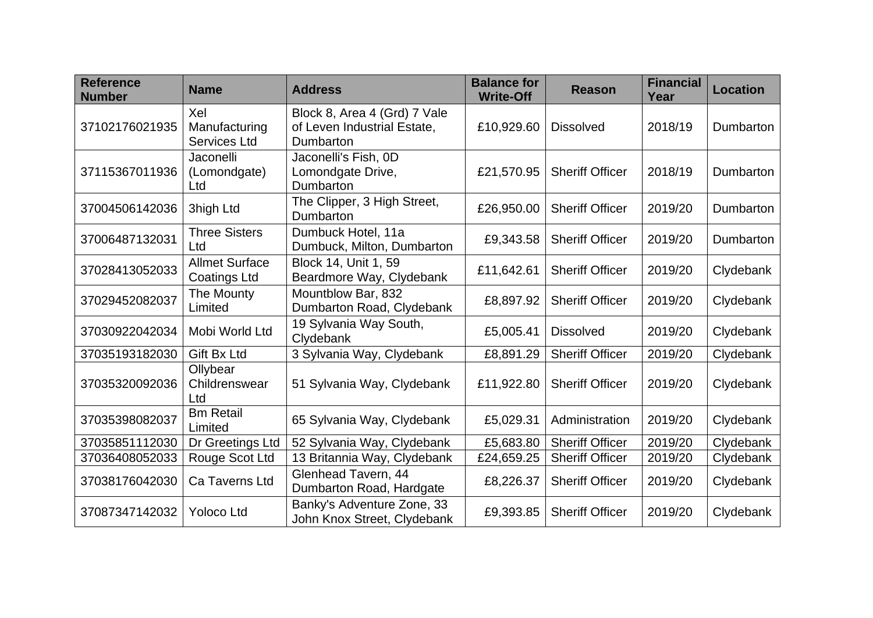| <b>Reference</b><br><b>Number</b> | <b>Name</b>                                  | <b>Address</b>                                                           | <b>Balance for</b><br><b>Write-Off</b> | <b>Reason</b>          | <b>Financial</b><br>Year | <b>Location</b> |
|-----------------------------------|----------------------------------------------|--------------------------------------------------------------------------|----------------------------------------|------------------------|--------------------------|-----------------|
| 37102176021935                    | Xel<br>Manufacturing<br><b>Services Ltd</b>  | Block 8, Area 4 (Grd) 7 Vale<br>of Leven Industrial Estate,<br>Dumbarton | £10,929.60                             | <b>Dissolved</b>       | 2018/19                  | Dumbarton       |
| 37115367011936                    | Jaconelli<br>(Lomondgate)<br>Ltd             | Jaconelli's Fish, 0D<br>Lomondgate Drive,<br>Dumbarton                   | £21,570.95                             | <b>Sheriff Officer</b> | 2018/19                  | Dumbarton       |
| 37004506142036                    | 3high Ltd                                    | The Clipper, 3 High Street,<br>Dumbarton                                 | £26,950.00                             | <b>Sheriff Officer</b> | 2019/20                  | Dumbarton       |
| 37006487132031                    | <b>Three Sisters</b><br>Ltd                  | Dumbuck Hotel, 11a<br>Dumbuck, Milton, Dumbarton                         | £9,343.58                              | <b>Sheriff Officer</b> | 2019/20                  | Dumbarton       |
| 37028413052033                    | <b>Allmet Surface</b><br><b>Coatings Ltd</b> | Block 14, Unit 1, 59<br>Beardmore Way, Clydebank                         | £11,642.61                             | <b>Sheriff Officer</b> | 2019/20                  | Clydebank       |
| 37029452082037                    | The Mounty<br>Limited                        | Mountblow Bar, 832<br>Dumbarton Road, Clydebank                          | £8,897.92                              | <b>Sheriff Officer</b> | 2019/20                  | Clydebank       |
| 37030922042034                    | Mobi World Ltd                               | 19 Sylvania Way South,<br>Clydebank                                      | £5,005.41                              | <b>Dissolved</b>       | 2019/20                  | Clydebank       |
| 37035193182030                    | <b>Gift Bx Ltd</b>                           | 3 Sylvania Way, Clydebank                                                | £8,891.29                              | <b>Sheriff Officer</b> | 2019/20                  | Clydebank       |
| 37035320092036                    | Ollybear<br>Childrenswear<br>Ltd             | 51 Sylvania Way, Clydebank                                               | £11,922.80                             | <b>Sheriff Officer</b> | 2019/20                  | Clydebank       |
| 37035398082037                    | <b>Bm Retail</b><br>Limited                  | 65 Sylvania Way, Clydebank                                               | £5,029.31                              | Administration         | 2019/20                  | Clydebank       |
| 37035851112030                    | Dr Greetings Ltd                             | 52 Sylvania Way, Clydebank                                               | £5,683.80                              | <b>Sheriff Officer</b> | 2019/20                  | Clydebank       |
| 37036408052033                    | Rouge Scot Ltd                               | 13 Britannia Way, Clydebank                                              | £24,659.25                             | <b>Sheriff Officer</b> | 2019/20                  | Clydebank       |
| 37038176042030                    | Ca Taverns Ltd                               | Glenhead Tavern, 44<br>Dumbarton Road, Hardgate                          | £8,226.37                              | <b>Sheriff Officer</b> | 2019/20                  | Clydebank       |
| 37087347142032                    | <b>Yoloco Ltd</b>                            | Banky's Adventure Zone, 33<br>John Knox Street, Clydebank                | £9,393.85                              | <b>Sheriff Officer</b> | 2019/20                  | Clydebank       |